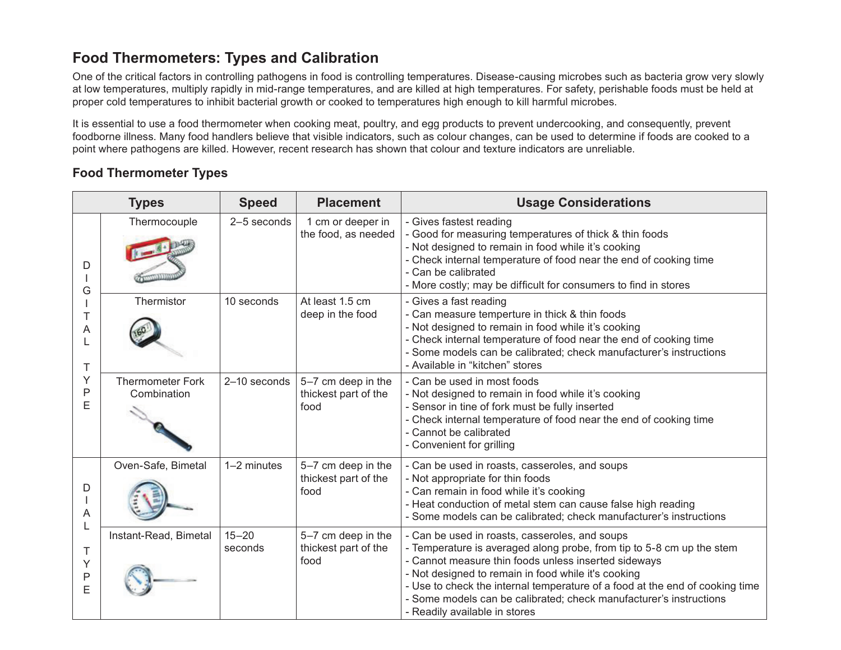# **Food Thermometers: Types and Calibration**

One of the critical factors in controlling pathogens in food is controlling temperatures. Disease-causing microbes such as bacteria grow very slowly at low temperatures, multiply rapidly in mid-range temperatures, and are killed at high temperatures. For safety, perishable foods must be held at proper cold temperatures to inhibit bacterial growth or cooked to temperatures high enough to kill harmful microbes.

It is essential to use a food thermometer when cooking meat, poultry, and egg products to prevent undercooking, and consequently, prevent foodborne illness. Many food handlers believe that visible indicators, such as colour changes, can be used to determine if foods are cooked to a point where pathogens are killed. However, recent research has shown that colour and texture indicators are unreliable.

## **Food Thermometer Types**

| <b>Types</b>                               |                                        | <b>Speed</b>         | <b>Placement</b>                                   | <b>Usage Considerations</b>                                                                                                                                                                                                                                                                                                                                                                                                   |
|--------------------------------------------|----------------------------------------|----------------------|----------------------------------------------------|-------------------------------------------------------------------------------------------------------------------------------------------------------------------------------------------------------------------------------------------------------------------------------------------------------------------------------------------------------------------------------------------------------------------------------|
| D<br>G<br>Т<br>Α<br>T<br>Υ<br>P<br>E       | Thermocouple                           | 2-5 seconds          | 1 cm or deeper in<br>the food, as needed           | - Gives fastest reading<br>- Good for measuring temperatures of thick & thin foods<br>- Not designed to remain in food while it's cooking<br>- Check internal temperature of food near the end of cooking time<br>- Can be calibrated<br>- More costly; may be difficult for consumers to find in stores                                                                                                                      |
|                                            | Thermistor                             | 10 seconds           | At least 1.5 cm<br>deep in the food                | - Gives a fast reading<br>- Can measure temperture in thick & thin foods<br>- Not designed to remain in food while it's cooking<br>- Check internal temperature of food near the end of cooking time<br>- Some models can be calibrated; check manufacturer's instructions<br>- Available in "kitchen" stores                                                                                                                 |
|                                            | <b>Thermometer Fork</b><br>Combination | 2-10 seconds         | 5-7 cm deep in the<br>thickest part of the<br>food | - Can be used in most foods<br>- Not designed to remain in food while it's cooking<br>- Sensor in tine of fork must be fully inserted<br>- Check internal temperature of food near the end of cooking time<br>- Cannot be calibrated<br>- Convenient for grilling                                                                                                                                                             |
| D<br>Α<br>L<br>Τ<br>Υ<br>$\mathsf{P}$<br>E | Oven-Safe, Bimetal                     | 1-2 minutes          | 5-7 cm deep in the<br>thickest part of the<br>food | - Can be used in roasts, casseroles, and soups<br>- Not appropriate for thin foods<br>- Can remain in food while it's cooking<br>- Heat conduction of metal stem can cause false high reading<br>- Some models can be calibrated; check manufacturer's instructions                                                                                                                                                           |
|                                            | Instant-Read, Bimetal                  | $15 - 20$<br>seconds | 5-7 cm deep in the<br>thickest part of the<br>food | - Can be used in roasts, casseroles, and soups<br>- Temperature is averaged along probe, from tip to 5-8 cm up the stem<br>- Cannot measure thin foods unless inserted sideways<br>- Not designed to remain in food while it's cooking<br>- Use to check the internal temperature of a food at the end of cooking time<br>- Some models can be calibrated; check manufacturer's instructions<br>- Readily available in stores |